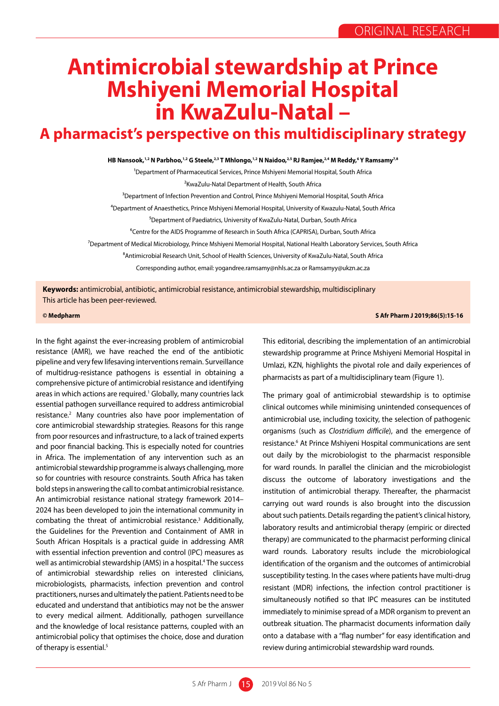## **Antimicrobial stewardship at Prince Mshiyeni Memorial Hospital in KwaZulu-Natal –**

## **A pharmacist's perspective on this multidisciplinary strategy**

**HB Nansook,1,2 N Parbhoo,1,2 G Steele,2,3 T Mhlongo,1,2 N Naidoo,2,5 RJ Ramjee,2,4 M Reddy,6 Y Ramsamy7,8** 

1Department of Pharmaceutical Services, Prince Mshiyeni Memorial Hospital, South Africa

<sup>2</sup>KwaZulu-Natal Department of Health, South Africa

<sup>3</sup>Department of Infection Prevention and Control, Prince Mshiyeni Memorial Hospital, South Africa

⁴Department of Anaesthetics, Prince Mshiyeni Memorial Hospital, University of Kwazulu-Natal, South Africa

⁵Department of Paediatrics, University of KwaZulu-Natal, Durban, South Africa

<sup>6</sup>Centre for the AIDS Programme of Research in South Africa (CAPRISA), Durban, South Africa

⁷Department of Medical Microbiology, Prince Mshiyeni Memorial Hospital, National Health Laboratory Services, South Africa

<sup>8</sup> Antimicrobial Research Unit, School of Health Sciences, University of KwaZulu-Natal, South Africa

Corresponding author, email: yogandree.ramsamy@nhls.ac.za or Ramsamyy@ukzn.ac.za

**Keywords:** antimicrobial, antibiotic, antimicrobial resistance, antimicrobial stewardship, multidisciplinary This article has been peer-reviewed.

## **© Medpharm S Afr Pharm J 2019;86(5):15-16**

In the fight against the ever-increasing problem of antimicrobial resistance (AMR), we have reached the end of the antibiotic pipeline and very few lifesaving interventions remain. Surveillance of multidrug-resistance pathogens is essential in obtaining a comprehensive picture of antimicrobial resistance and identifying areas in which actions are required.<sup>1</sup> Globally, many countries lack essential pathogen surveillance required to address antimicrobial resistance.2 Many countries also have poor implementation of core antimicrobial stewardship strategies. Reasons for this range from poor resources and infrastructure, to a lack of trained experts and poor financial backing. This is especially noted for countries in Africa. The implementation of any intervention such as an antimicrobial stewardship programme is always challenging, more so for countries with resource constraints. South Africa has taken bold steps in answering the call to combat antimicrobial resistance. An antimicrobial resistance national strategy framework 2014– 2024 has been developed to join the international community in combating the threat of antimicrobial resistance.<sup>3</sup> Additionally, the Guidelines for the Prevention and Containment of AMR in South African Hospitals is a practical guide in addressing AMR with essential infection prevention and control (IPC) measures as well as antimicrobial stewardship (AMS) in a hospital.<sup>4</sup> The success of antimicrobial stewardship relies on interested clinicians, microbiologists, pharmacists, infection prevention and control practitioners, nurses and ultimately the patient. Patients need to be educated and understand that antibiotics may not be the answer to every medical ailment. Additionally, pathogen surveillance and the knowledge of local resistance patterns, coupled with an antimicrobial policy that optimises the choice, dose and duration of therapy is essential.<sup>5</sup>

This editorial, describing the implementation of an antimicrobial stewardship programme at Prince Mshiyeni Memorial Hospital in Umlazi, KZN, highlights the pivotal role and daily experiences of pharmacists as part of a multidisciplinary team (Figure 1).

The primary goal of antimicrobial stewardship is to optimise clinical outcomes while minimising unintended consequences of antimicrobial use, including toxicity, the selection of pathogenic organisms (such as *Clostridium difficile*), and the emergence of resistance.<sup>6</sup> At Prince Mshiyeni Hospital communications are sent out daily by the microbiologist to the pharmacist responsible for ward rounds. In parallel the clinician and the microbiologist discuss the outcome of laboratory investigations and the institution of antimicrobial therapy. Thereafter, the pharmacist carrying out ward rounds is also brought into the discussion about such patients. Details regarding the patient's clinical history, laboratory results and antimicrobial therapy (empiric or directed therapy) are communicated to the pharmacist performing clinical ward rounds. Laboratory results include the microbiological identification of the organism and the outcomes of antimicrobial susceptibility testing. In the cases where patients have multi-drug resistant (MDR) infections, the infection control practitioner is simultaneously notified so that IPC measures can be instituted immediately to minimise spread of a MDR organism to prevent an outbreak situation. The pharmacist documents information daily onto a database with a "flag number" for easy identification and review during antimicrobial stewardship ward rounds.